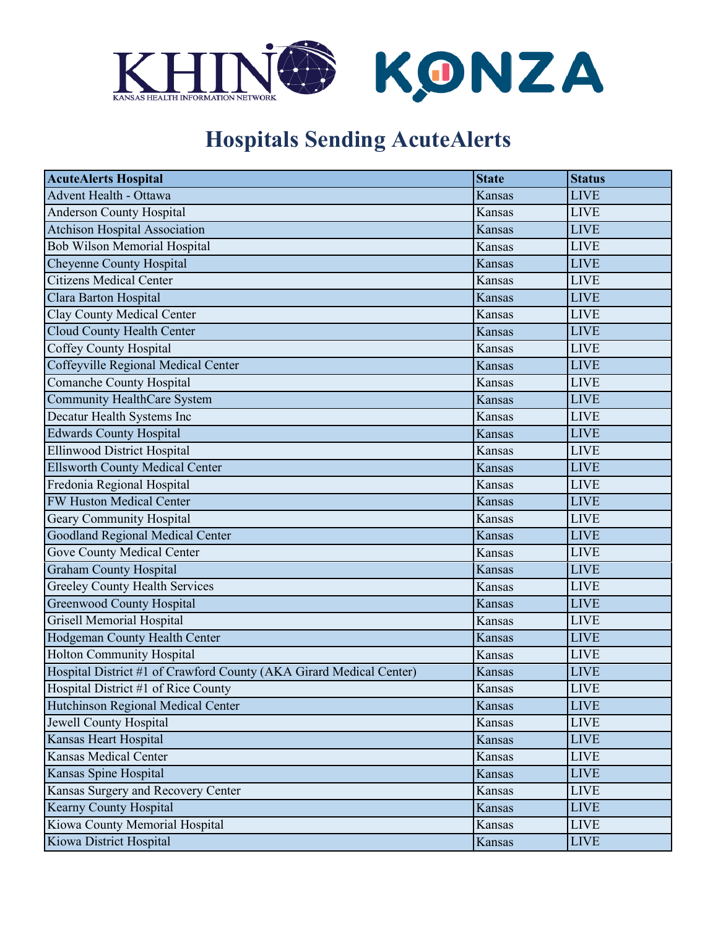

## **Hospitals Sending AcuteAlerts**

| <b>AcuteAlerts Hospital</b>                                         | <b>State</b>  | <b>Status</b> |
|---------------------------------------------------------------------|---------------|---------------|
| Advent Health - Ottawa                                              | Kansas        | <b>LIVE</b>   |
| Anderson County Hospital                                            | Kansas        | <b>LIVE</b>   |
| <b>Atchison Hospital Association</b>                                | Kansas        | <b>LIVE</b>   |
| <b>Bob Wilson Memorial Hospital</b>                                 | Kansas        | <b>LIVE</b>   |
| Cheyenne County Hospital                                            | <b>Kansas</b> | <b>LIVE</b>   |
| <b>Citizens Medical Center</b>                                      | Kansas        | <b>LIVE</b>   |
| Clara Barton Hospital                                               | <b>Kansas</b> | <b>LIVE</b>   |
| Clay County Medical Center                                          | Kansas        | <b>LIVE</b>   |
| Cloud County Health Center                                          | Kansas        | <b>LIVE</b>   |
| <b>Coffey County Hospital</b>                                       | Kansas        | <b>LIVE</b>   |
| Coffeyville Regional Medical Center                                 | Kansas        | <b>LIVE</b>   |
| Comanche County Hospital                                            | Kansas        | <b>LIVE</b>   |
| Community HealthCare System                                         | Kansas        | <b>LIVE</b>   |
| Decatur Health Systems Inc                                          | Kansas        | <b>LIVE</b>   |
| <b>Edwards County Hospital</b>                                      | Kansas        | <b>LIVE</b>   |
| Ellinwood District Hospital                                         | Kansas        | <b>LIVE</b>   |
| <b>Ellsworth County Medical Center</b>                              | <b>Kansas</b> | <b>LIVE</b>   |
| Fredonia Regional Hospital                                          | Kansas        | <b>LIVE</b>   |
| <b>FW Huston Medical Center</b>                                     | <b>Kansas</b> | <b>LIVE</b>   |
| <b>Geary Community Hospital</b>                                     | Kansas        | <b>LIVE</b>   |
| <b>Goodland Regional Medical Center</b>                             | Kansas        | <b>LIVE</b>   |
| <b>Gove County Medical Center</b>                                   | Kansas        | <b>LIVE</b>   |
| <b>Graham County Hospital</b>                                       | Kansas        | <b>LIVE</b>   |
| <b>Greeley County Health Services</b>                               | Kansas        | <b>LIVE</b>   |
| <b>Greenwood County Hospital</b>                                    | Kansas        | <b>LIVE</b>   |
| <b>Grisell Memorial Hospital</b>                                    | Kansas        | <b>LIVE</b>   |
| Hodgeman County Health Center                                       | Kansas        | <b>LIVE</b>   |
| Holton Community Hospital                                           | Kansas        | <b>LIVE</b>   |
| Hospital District #1 of Crawford County (AKA Girard Medical Center) | Kansas        | <b>LIVE</b>   |
| Hospital District #1 of Rice County                                 | Kansas        | <b>LIVE</b>   |
| Hutchinson Regional Medical Center                                  | Kansas        | <b>LIVE</b>   |
| Jewell County Hospital                                              | Kansas        | <b>LIVE</b>   |
| Kansas Heart Hospital                                               | Kansas        | <b>LIVE</b>   |
| <b>Kansas Medical Center</b>                                        | Kansas        | <b>LIVE</b>   |
| Kansas Spine Hospital                                               | Kansas        | <b>LIVE</b>   |
| Kansas Surgery and Recovery Center                                  | Kansas        | <b>LIVE</b>   |
| Kearny County Hospital                                              | Kansas        | <b>LIVE</b>   |
| Kiowa County Memorial Hospital                                      | Kansas        | <b>LIVE</b>   |
| Kiowa District Hospital                                             | Kansas        | <b>LIVE</b>   |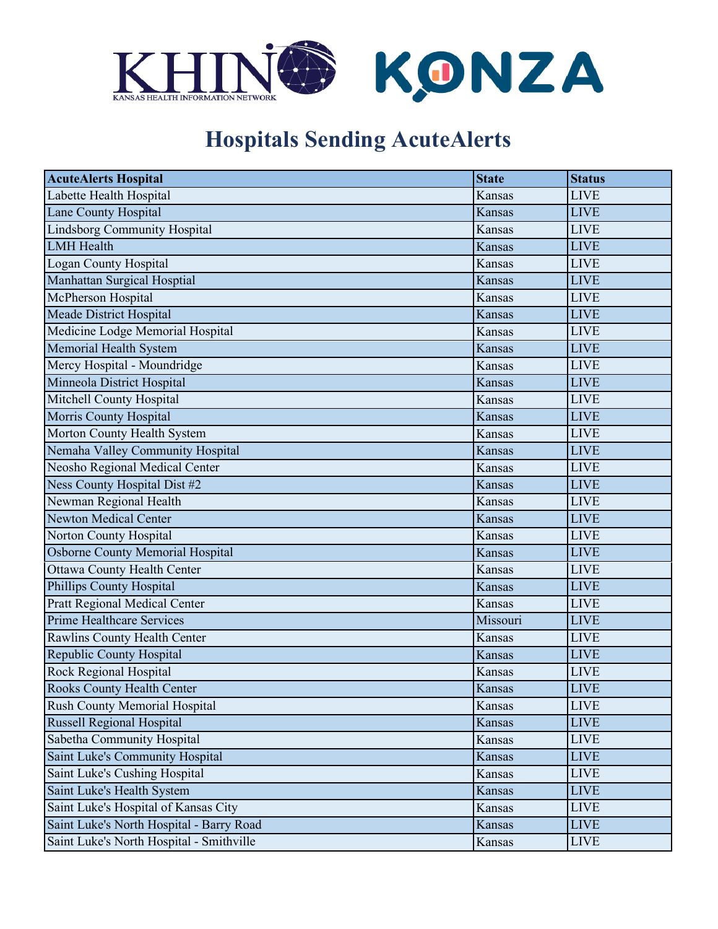

## **Hospitals Sending AcuteAlerts**

| <b>AcuteAlerts Hospital</b>              | <b>State</b>  | <b>Status</b> |
|------------------------------------------|---------------|---------------|
| Labette Health Hospital                  | Kansas        | <b>LIVE</b>   |
| Lane County Hospital                     | <b>Kansas</b> | <b>LIVE</b>   |
| <b>Lindsborg Community Hospital</b>      | Kansas        | <b>LIVE</b>   |
| <b>LMH</b> Health                        | Kansas        | <b>LIVE</b>   |
| Logan County Hospital                    | Kansas        | <b>LIVE</b>   |
| Manhattan Surgical Hosptial              | Kansas        | <b>LIVE</b>   |
| McPherson Hospital                       | Kansas        | <b>LIVE</b>   |
| Meade District Hospital                  | Kansas        | <b>LIVE</b>   |
| Medicine Lodge Memorial Hospital         | Kansas        | <b>LIVE</b>   |
| Memorial Health System                   | Kansas        | <b>LIVE</b>   |
| Mercy Hospital - Moundridge              | Kansas        | <b>LIVE</b>   |
| Minneola District Hospital               | <b>Kansas</b> | <b>LIVE</b>   |
| Mitchell County Hospital                 | Kansas        | <b>LIVE</b>   |
| Morris County Hospital                   | <b>Kansas</b> | <b>LIVE</b>   |
| Morton County Health System              | Kansas        | <b>LIVE</b>   |
| Nemaha Valley Community Hospital         | Kansas        | <b>LIVE</b>   |
| Neosho Regional Medical Center           | Kansas        | <b>LIVE</b>   |
| Ness County Hospital Dist #2             | Kansas        | <b>LIVE</b>   |
| Newman Regional Health                   | Kansas        | <b>LIVE</b>   |
| <b>Newton Medical Center</b>             | Kansas        | <b>LIVE</b>   |
| Norton County Hospital                   | Kansas        | <b>LIVE</b>   |
| Osborne County Memorial Hospital         | Kansas        | <b>LIVE</b>   |
| <b>Ottawa County Health Center</b>       | Kansas        | <b>LIVE</b>   |
| Phillips County Hospital                 | Kansas        | <b>LIVE</b>   |
| Pratt Regional Medical Center            | Kansas        | <b>LIVE</b>   |
| <b>Prime Healthcare Services</b>         | Missouri      | <b>LIVE</b>   |
| Rawlins County Health Center             | Kansas        | <b>LIVE</b>   |
| Republic County Hospital                 | Kansas        | <b>LIVE</b>   |
| Rock Regional Hospital                   | <b>Kansas</b> | <b>LIVE</b>   |
| <b>Rooks County Health Center</b>        | Kansas        | <b>LIVE</b>   |
| Rush County Memorial Hospital            | Kansas        | <b>LIVE</b>   |
| Russell Regional Hospital                | Kansas        | <b>LIVE</b>   |
| Sabetha Community Hospital               | Kansas        | <b>LIVE</b>   |
| Saint Luke's Community Hospital          | Kansas        | <b>LIVE</b>   |
| Saint Luke's Cushing Hospital            | Kansas        | <b>LIVE</b>   |
| Saint Luke's Health System               | Kansas        | <b>LIVE</b>   |
| Saint Luke's Hospital of Kansas City     | Kansas        | <b>LIVE</b>   |
| Saint Luke's North Hospital - Barry Road | Kansas        | <b>LIVE</b>   |
| Saint Luke's North Hospital - Smithville | Kansas        | <b>LIVE</b>   |